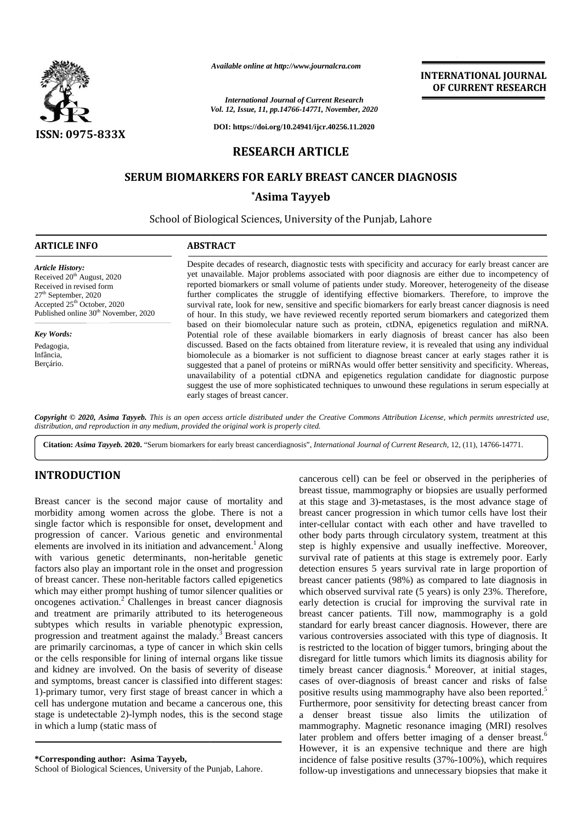

*Available online at http://www.journalcra.com*

# **RESEARCH ARTICLE**

## SERUM BIOMARKERS FOR EARLY BREAST CANCER DIAGNOSIS

| <b>ISSN: 0975-833X</b>                                                                                                                                                                                                    | Available online at http://www.journalcra.com<br><b>International Journal of Current Research</b><br>Vol. 12, Issue, 11, pp.14766-14771, November, 2020<br>DOI: https://doi.org/10.24941/ijcr.40256.11.2020                                                                                                                                                                                                                                                                                                                                                                                                                                                                                                                                                                                                                                                                                                                                                                                                                                                                                                                                                                                                                                                                                                                                                                                                     | <b>INTERNATIONAL JOURNAL</b><br>OF CURRENT RESEARCH |
|---------------------------------------------------------------------------------------------------------------------------------------------------------------------------------------------------------------------------|-----------------------------------------------------------------------------------------------------------------------------------------------------------------------------------------------------------------------------------------------------------------------------------------------------------------------------------------------------------------------------------------------------------------------------------------------------------------------------------------------------------------------------------------------------------------------------------------------------------------------------------------------------------------------------------------------------------------------------------------------------------------------------------------------------------------------------------------------------------------------------------------------------------------------------------------------------------------------------------------------------------------------------------------------------------------------------------------------------------------------------------------------------------------------------------------------------------------------------------------------------------------------------------------------------------------------------------------------------------------------------------------------------------------|-----------------------------------------------------|
|                                                                                                                                                                                                                           | <b>RESEARCH ARTICLE</b>                                                                                                                                                                                                                                                                                                                                                                                                                                                                                                                                                                                                                                                                                                                                                                                                                                                                                                                                                                                                                                                                                                                                                                                                                                                                                                                                                                                         |                                                     |
|                                                                                                                                                                                                                           | <b>SERUM BIOMARKERS FOR EARLY BREAST CANCER DIAGNOSIS</b>                                                                                                                                                                                                                                                                                                                                                                                                                                                                                                                                                                                                                                                                                                                                                                                                                                                                                                                                                                                                                                                                                                                                                                                                                                                                                                                                                       |                                                     |
|                                                                                                                                                                                                                           | *Asima Tayyeb                                                                                                                                                                                                                                                                                                                                                                                                                                                                                                                                                                                                                                                                                                                                                                                                                                                                                                                                                                                                                                                                                                                                                                                                                                                                                                                                                                                                   |                                                     |
|                                                                                                                                                                                                                           | School of Biological Sciences, University of the Punjab, Lahore                                                                                                                                                                                                                                                                                                                                                                                                                                                                                                                                                                                                                                                                                                                                                                                                                                                                                                                                                                                                                                                                                                                                                                                                                                                                                                                                                 |                                                     |
| <b>ARTICLE INFO</b>                                                                                                                                                                                                       | <b>ABSTRACT</b>                                                                                                                                                                                                                                                                                                                                                                                                                                                                                                                                                                                                                                                                                                                                                                                                                                                                                                                                                                                                                                                                                                                                                                                                                                                                                                                                                                                                 |                                                     |
| Article History:<br>Received 20 <sup>th</sup> August, 2020<br>Received in revised form<br>27 <sup>th</sup> September, 2020<br>Accepted 25 <sup>th</sup> October, 2020<br>Published online 30 <sup>th</sup> November, 2020 | Despite decades of research, diagnostic tests with specificity and accuracy for early breast cancer are<br>yet unavailable. Major problems associated with poor diagnosis are either due to incompetency of<br>reported biomarkers or small volume of patients under study. Moreover, heterogeneity of the disease<br>further complicates the struggle of identifying effective biomarkers. Therefore, to improve the<br>survival rate, look for new, sensitive and specific biomarkers for early breast cancer diagnosis is need<br>of hour. In this study, we have reviewed recently reported serum biomarkers and categorized them<br>based on their biomolecular nature such as protein, ctDNA, epigenetics regulation and miRNA.<br>Potential role of these available biomarkers in early diagnosis of breast cancer has also been<br>discussed. Based on the facts obtained from literature review, it is revealed that using any individual<br>biomolecule as a biomarker is not sufficient to diagnose breast cancer at early stages rather it is<br>suggested that a panel of proteins or miRNAs would offer better sensitivity and specificity. Whereas,<br>unavailability of a potential ctDNA and epigenetics regulation candidate for diagnostic purpose<br>suggest the use of more sophisticated techniques to unwound these regulations in serum especially at<br>early stages of breast cancer. |                                                     |
| <b>Key Words:</b>                                                                                                                                                                                                         |                                                                                                                                                                                                                                                                                                                                                                                                                                                                                                                                                                                                                                                                                                                                                                                                                                                                                                                                                                                                                                                                                                                                                                                                                                                                                                                                                                                                                 |                                                     |
| Pedagogia,<br>Infância,<br>Berçário.                                                                                                                                                                                      |                                                                                                                                                                                                                                                                                                                                                                                                                                                                                                                                                                                                                                                                                                                                                                                                                                                                                                                                                                                                                                                                                                                                                                                                                                                                                                                                                                                                                 |                                                     |
|                                                                                                                                                                                                                           | Copyright © 2020, Asima Tayyeb. This is an open access article distributed under the Creative Commons Attribution License, which permits unrestricted use,<br>distribution, and reproduction in any medium, provided the original work is properly cited.<br>Citation: Asima Tayyeb. 2020. "Serum biomarkers for early breast cancerdiagnosis", International Journal of Current Research, 12, (11), 14766-14771.                                                                                                                                                                                                                                                                                                                                                                                                                                                                                                                                                                                                                                                                                                                                                                                                                                                                                                                                                                                               |                                                     |

## **INTRODUCTION INTRODUCTION**

Breast cancer is the second major cause of mortality and morbidity among women across the globe. There is not a single factor which is responsible for onset, development and Breast cancer is the second major cause of mortality and<br>morbidity among women across the globe. There is not a<br>single factor which is responsible for onset, development and<br>progression of cancer. Various genetic and envir elements are involved in its initiation and advancement.<sup>1</sup> Along step with various genetic determinants, non-heritable genetic factors also play an important role in the onset and progression of breast cancer. These non-heritable factors called epigenetics which may either prompt hushing of tumor silencer qualities or oncogenes activation.<sup>2</sup> Challenges in breast cancer diagnosis ear and treatment are primarily attributed to its heterogeneous subtypes which results in variable phenotypic expression, progression and treatment against the malady.<sup>3</sup> Breast cancers are primarily carcinomas, a type of cancer in which skin cells or the cells responsible for lining of internal organs like tissue and kidney are involved. On the basis of severity of disease and symptoms, breast cancer is classified into different stages: 1)-primary tumor, very first stage of breast cancer in which a 1)-primary tumor, very first stage of breast cancer in which a posed position and became a cancerous one, this stage is undetectable 2)-lymph nodes, this is the second stage a communivale alump (static mass of marries of marries of  $\frac{1}{2}$ in which a lump (static mass of with various genetic determinants, non-heritable genetic<br>factors also play an important role in the onset and progression<br>of breast cancer. These non-heritable factors called epigenetics<br>which may either prompt hushing of are primarily carcinomas, a type of cancer in which skin cells<br>or the cells responsible for lining of internal organs like tissue<br>and kidney are involved. On the basis of severity of disease<br>and symptoms, breast cancer is

**\*Corresponding author: Asima Tayyeb, \*Corresponding Asima Tayyeb,**

School of Biological Sciences, University of the Punjab, Lahore.

cancerous cell) can be feel or observed in the peripheries of breast tissue, mammography or biopsies are usually performed at this stage and 3)-metastases, is the most advance stage of breast cancer progression in which tumor cells have lost their inter-cellular contact with each other and have travelled to other body parts through circulatory system, treatment at this step is highly expensive and usually ineffective. Moreover, survival rate of patients at this stage is extremely poor. Early detection ensures 5 years survival rate in large proportion of breast cancer patients (98%) as compared to late diagnosis in which observed survival rate (5 years) is only 23%. Therefore, early detection is crucial for improving the survival rate in breast cancer patients. Till now, mammography is a gold standard for early breast cancer diagnosis. However, there are various controversies associated with this type of diagnosis. It is restricted to the location of bigger tumors, bringing about the disregard for little tumors which limits its diagnosis ability for timely breast cancer diagnosis.<sup>4</sup> Moreover, at initial stages, cases of over-diagnosis of breast cancer and risks of false positive results using mammography have also been reported.<sup>5</sup> Furthermore, poor sensitivity for detecting breast cancer from a denser breast tissue also limits the utilization of mammography. Magnetic resonance imaging (MRI) resolves later problem and offers better imaging of a denser breast.<sup>6</sup> However, it is an expensive technique and there are high incidence of false positive results (37%-100%), which requires follow-up investigations and unnecessary biopsies that make it Breast cancer is the second major cause of mortality and at this stage and 3)-motastaces, is the most advance from some are the giobe. There is not a breast cancer progression in which tunnor each stage is under<br>increase on ensures 5 years survival rate in large proportion of cancer patients (98%) as compared to late diagnosis in observed survival rate (5 years) is only 23%. Therefore, detection is crucial for improving the survival rate i **Breast controversies the matrix of the state of the official terms of the official terms of the original control in the original control in the original control in the original control in the original control in the orig INTERNATIONAL JOURNAL TOWARD INTERNATIONAL JOURNAL TOWARD INTERNATIONAL JOURNAL TOWARD (THE CALC AGENET ARCHER SEARCHE PRODUCTS) TO UNIVERSAL TO UNIVERSAL TO UNIVERSAL TO UNIVERSAL TO UNIVERSAL TO UNIVERSAL TO UNIVERSAL**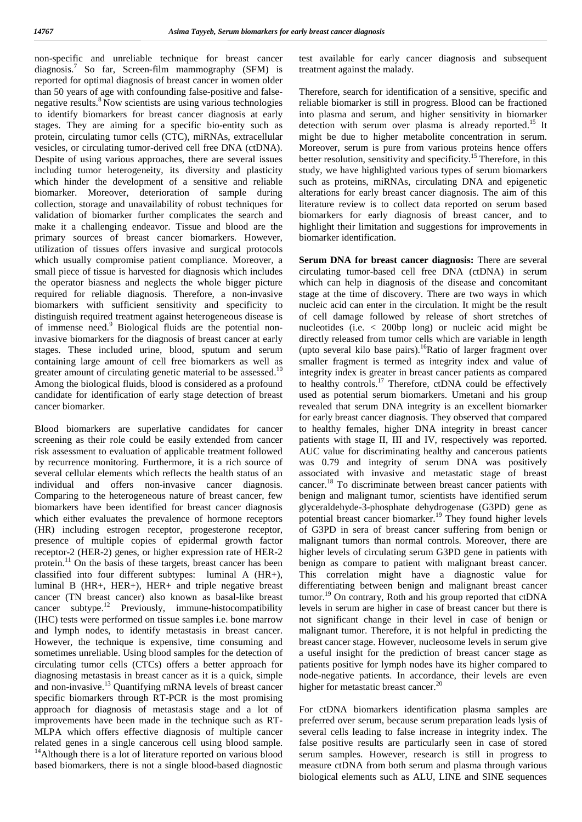non-specific and unreliable technique for breast cancer diagnosis.<sup>7</sup> So far, Screen-film mammography (SFM) is reported for optimal diagnosis of breast cancer in women older than 50 years of age with confounding false-positive and false negative results.<sup>8</sup> Now scientists are using various technologies to identify biomarkers for breast cancer diagnosis at early stages. They are aiming for a specific bio-entity such as protein, circulating tumor cells (CTC), miRNAs, extracellular vesicles, or circulating tumor-derived cell free DNA (ctDNA). Despite of using various approaches, there are several issues including tumor heterogeneity, its diversity and plasticity which hinder the development of a sensitive and reliable biomarker. Moreover, deterioration of sample during collection, storage and unavailability of robust techniques for validation of biomarker further complicates the search and make it a challenging endeavor. Tissue and blood are the primary sources of breast cancer biomarkers. However, utilization of tissues offers invasive and surgical protocols which usually compromise patient compliance. Moreover, a small piece of tissue is harvested for diagnosis which includes the operator biasness and neglects the whole bigger picture required for reliable diagnosis. Therefore, a non-invasive biomarkers with sufficient sensitivity and specificity to distinguish required treatment against heterogeneous disease is of immense need.<sup>9</sup> Biological fluids are the potential noninvasive biomarkers for the diagnosis of breast cancer at early stages. These included urine, blood, sputum and serum containing large amount of cell free biomarkers as well as greater amount of circulating genetic material to be assessed.<sup>10</sup> Among the biological fluids, blood is considered as a profound candidate for identification of early stage detection of breast cancer biomarker.

Blood biomarkers are superlative candidates for cancer screening as their role could be easily extended from cancer risk assessment to evaluation of applicable treatment followed by recurrence monitoring. Furthermore, it is a rich source of several cellular elements which reflects the health status of an individual and offers non-invasive cancer diagnosis. Comparing to the heterogeneous nature of breast cancer, few biomarkers have been identified for breast cancer diagnosis which either evaluates the prevalence of hormone receptors (HR) including estrogen receptor, progesterone receptor, presence of multiple copies of epidermal growth factor receptor-2 (HER-2) genes, or higher expression rate of HER-2 protein.<sup>11</sup> On the basis of these targets, breast cancer has been classified into four different subtypes: luminal A (HR+), luminal B (HR+, HER+), HER+ and triple negative breast cancer (TN breast cancer) also known as basal-like breast cancer subtype.<sup>12</sup> Previously, immune-histocompatibility level (IHC) tests were performed on tissue samples i.e. bone marrow and lymph nodes, to identify metastasis in breast cancer. However, the technique is expensive, time consuming and sometimes unreliable. Using blood samples for the detection of circulating tumor cells (CTCs) offers a better approach for diagnosing metastasis in breast cancer as it is a quick, simple and non-invasive.<sup>13</sup> Quantifying mRNA levels of breast cancer specific biomarkers through RT-PCR is the most promising approach for diagnosis of metastasis stage and a lot of improvements have been made in the technique such as RT- MLPA which offers effective diagnosis of multiple cancer related genes in a single cancerous cell using blood sample. <sup>14</sup>Although there is a lot of literature reported on various blood based biomarkers, there is not a single blood-based diagnostic

test available for early cancer diagnosis and subsequent treatment against the malady.

Therefore, search for identification of a sensitive, specific and reliable biomarker is still in progress. Blood can be fractioned into plasma and serum, and higher sensitivity in biomarker detection with serum over plasma is already reported.<sup>15</sup> It might be due to higher metabolite concentration in serum. Moreover, serum is pure from various proteins hence offers better resolution, sensitivity and specificity.<sup>15</sup> Therefore, in this study, we have highlighted various types of serum biomarkers such as proteins, miRNAs, circulating DNA and epigenetic alterations for early breast cancer diagnosis. The aim of this literature review is to collect data reported on serum based biomarkers for early diagnosis of breast cancer, and to highlight their limitation and suggestions for improvements in biomarker identification.

**Serum DNA for breast cancer diagnosis:** There are several circulating tumor-based cell free DNA (ctDNA) in serum which can help in diagnosis of the disease and concomitant stage at the time of discovery. There are two ways in which nucleic acid can enter in the circulation. It might be the result of cell damage followed by release of short stretches of nucleotides (i.e. < 200bp long) or nucleic acid might be directly released from tumor cells which are variable in length (upto several kilo base pairs).<sup>16</sup>Ratio of larger fragment over smaller fragment is termed as integrity index and value of integrity index is greater in breast cancer patients as compared to healthy controls.<sup>17</sup> Therefore, ctDNA could be effectively used as potential serum biomarkers. Umetani and his group revealed that serum DNA integrity is an excellent biomarker for early breast cancer diagnosis. They observed that compared to healthy females, higher DNA integrity in breast cancer patients with stage II, III and IV, respectively was reported. AUC value for discriminating healthy and cancerous patients was 0.79 and integrity of serum DNA was positively associated with invasive and metastatic stage of breast cancer.<sup>18</sup> To discriminate between breast cancer patients with benign and malignant tumor, scientists have identified serum glyceraldehyde-3-phosphate dehydrogenase (G3PD) gene as potential breast cancer biomarker.<sup>19</sup> They found higher levels of G3PD in sera of breast cancer suffering from benign or malignant tumors than normal controls. Moreover, there are higher levels of circulating serum G3PD gene in patients with benign as compare to patient with malignant breast cancer. This correlation might have a diagnostic value for differentiating between benign and malignant breast cancer tumor.<sup>19</sup> On contrary, Roth and his group reported that ctDNA levels in serum are higher in case of breast cancer but there is not significant change in their level in case of benign or malignant tumor. Therefore, it is not helpful in predicting the breast cancer stage. However, nucleosome levels in serum give a useful insight for the prediction of breast cancer stage as patients positive for lymph nodes have its higher compared to node-negative patients. In accordance, their levels are even higher for metastatic breast cancer.<sup>20</sup>

For ctDNA biomarkers identification plasma samples are preferred over serum, because serum preparation leads lysis of several cells leading to false increase in integrity index. The false positive results are particularly seen in case of stored serum samples. However, research is still in progress to measure ctDNA from both serum and plasma through various biological elements such as ALU, LINE and SINE sequences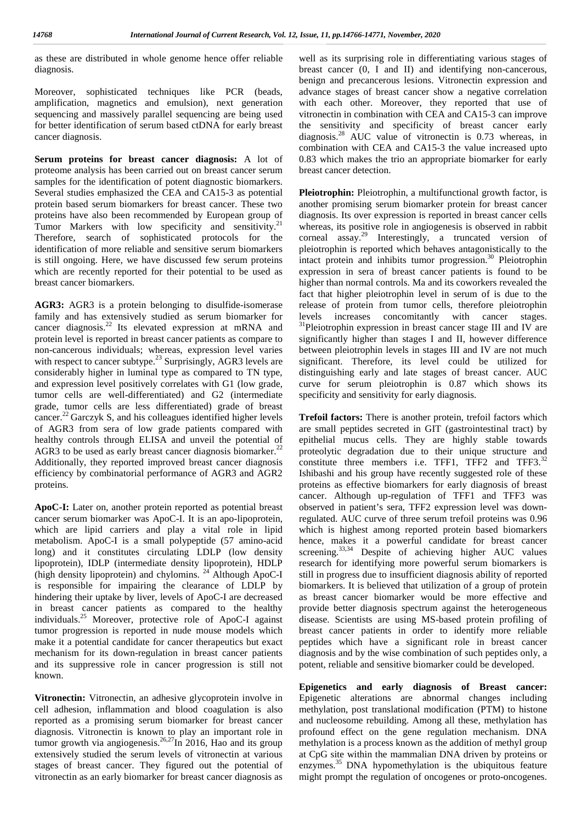as these are distributed in whole genome hence offer reliable diagnosis.

Moreover, sophisticated techniques like PCR (beads, amplification, magnetics and emulsion), next generation sequencing and massively parallel sequencing are being used for better identification of serum based ctDNA for early breast cancer diagnosis.

**Serum proteins for breast cancer diagnosis:** A lot of proteome analysis has been carried out on breast cancer serum samples for the identification of potent diagnostic biomarkers. Several studies emphasized the CEA and CA15-3 as potential protein based serum biomarkers for breast cancer. These two proteins have also been recommended by European group of Tumor Markers with low specificity and sensitivity.<sup>21</sup> Therefore, search of sophisticated protocols for the identification of more reliable and sensitive serum biomarkers is still ongoing. Here, we have discussed few serum proteins which are recently reported for their potential to be used as breast cancer biomarkers.

**AGR3:** AGR3 is a protein belonging to disulfide-isomerase family and has extensively studied as serum biomarker for levels increases concomitantly with cancer stages. cancer diagnosis.<sup>22</sup> Its elevated expression at mRNA and protein level is reported in breast cancer patients as compare to non-cancerous individuals; whereas, expression level varies with respect to cancer subtype.<sup>23</sup> Surprisingly, AGR3 levels are considerably higher in luminal type as compared to TN type, and expression level positively correlates with G1 (low grade, tumor cells are well-differentiated) and G2 (intermediate grade, tumor cells are less differentiated) grade of breast cancer.<sup>22</sup> Garczyk S, and his colleagues identified higher levels of AGR3 from sera of low grade patients compared with healthy controls through ELISA and unveil the potential of AGR3 to be used as early breast cancer diagnosis biomarker. $^{22}$ Additionally, they reported improved breast cancer diagnosis efficiency by combinatorial performance of AGR3 and AGR2 proteins.

**ApoC-I:** Later on, another protein reported as potential breast cancer serum biomarker was ApoC-I. It is an apo-lipoprotein, which are lipid carriers and play a vital role in lipid metabolism. ApoC-I is a small polypeptide (57 amino-acid long) and it constitutes circulating LDLP (low density lipoprotein), IDLP (intermediate density lipoprotein), HDLP (high density lipoprotein) and chylomins. <sup>24</sup> Although ApoC-I is responsible for impairing the clearance of LDLP by hindering their uptake by liver, levels of ApoC-I are decreased in breast cancer patients as compared to the healthy individuals.<sup>25</sup> Moreover, protective role of ApoC-I against tumor progression is reported in nude mouse models which make it a potential candidate for cancer therapeutics but exact mechanism for its down-regulation in breast cancer patients and its suppressive role in cancer progression is still not known.

**Vitronectin:** Vitronectin, an adhesive glycoprotein involve in cell adhesion, inflammation and blood coagulation is also reported as a promising serum biomarker for breast cancer diagnosis. Vitronectin is known to play an important role in tumor growth via angiogenesis.<sup>26,27</sup>In 2016, Hao and its group meth extensively studied the serum levels of vitronectin at various stages of breast cancer. They figured out the potential of vitronectin as an early biomarker for breast cancer diagnosis as

well as its surprising role in differentiating various stages of breast cancer (0, I and II) and identifying non-cancerous, benign and precancerous lesions. Vitronectin expression and advance stages of breast cancer show a negative correlation with each other. Moreover, they reported that use of vitronectin in combination with CEA and CA15-3 can improve the sensitivity and specificity of breast cancer early diagnosis.<sup>28</sup> AUC value of vitronectin is 0.73 whereas, in combination with CEA and CA15-3 the value increased upto 0.83 which makes the trio an appropriate biomarker for early breast cancer detection.

**Pleiotrophin:** Pleiotrophin, a multifunctional growth factor, is another promising serum biomarker protein for breast cancer diagnosis. Its over expression is reported in breast cancer cells whereas, its positive role in angiogenesis is observed in rabbit corneal assay.<sup>29</sup> Interestingly, a truncated version of pleiotrophin is reported which behaves antagonistically to the intact protein and inhibits tumor progression. $30$  Pleiotrophin expression in sera of breast cancer patients is found to be higher than normal controls. Ma and its coworkers revealed the fact that higher pleiotrophin level in serum of is due to the release of protein from tumor cells, therefore pleiotrophin  $31$ Pleiotrophin expression in breast cancer stage III and IV are significantly higher than stages I and II, however difference between pleiotrophin levels in stages III and IV are not much significant. Therefore, its level could be utilized for distinguishing early and late stages of breast cancer. AUC curve for serum pleiotrophin is 0.87 which shows its specificity and sensitivity for early diagnosis.

**Trefoil factors:** There is another protein, trefoil factors which are small peptides secreted in GIT (gastrointestinal tract) by epithelial mucus cells. They are highly stable towards proteolytic degradation due to their unique structure and constitute three members i.e. TFF1, TFF2 and TFF3. $^{32}$ Ishibashi and his group have recently suggested role of these proteins as effective biomarkers for early diagnosis of breast cancer. Although up-regulation of TFF1 and TFF3 was observed in patient's sera, TFF2 expression level was downregulated. AUC curve of three serum trefoil proteins was 0.96 which is highest among reported protein based biomarkers hence, makes it a powerful candidate for breast cancer screening.<sup>33,34</sup> Despite of achieving higher AUC values research for identifying more powerful serum biomarkers is still in progress due to insufficient diagnosis ability of reported biomarkers. It is believed that utilization of a group of protein as breast cancer biomarker would be more effective and provide better diagnosis spectrum against the heterogeneous disease. Scientists are using MS-based protein profiling of breast cancer patients in order to identify more reliable peptides which have a significant role in breast cancer diagnosis and by the wise combination of such peptides only, a potent, reliable and sensitive biomarker could be developed.

**Epigenetics and early diagnosis of Breast cancer:** Epigenetic alterations are abnormal changes including methylation, post translational modification (PTM) to histone and nucleosome rebuilding. Among all these, methylation has profound effect on the gene regulation mechanism. DNA methylation is a process known as the addition of methyl group at CpG site within the mammalian DNA driven by proteins or enzymes.<sup>35</sup> DNA hypomethylation is the ubiquitous feature might prompt the regulation of oncogenes or proto-oncogenes.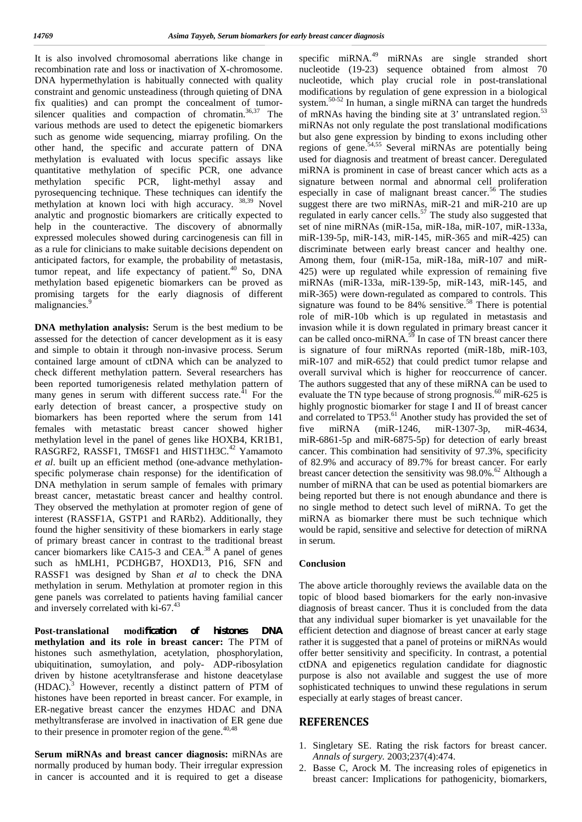It is also involved chromosomal aberrations like change in recombination rate and loss or inactivation of X-chromosome. DNA hypermethylation is habitually connected with quality constraint and genomic unsteadiness (through quieting of DNA fix qualities) and can prompt the concealment of tumor silencer qualities and compaction of chromatin. $36,37$  The various methods are used to detect the epigenetic biomarkers such as genome wide sequencing, miarray profiling. On the other hand, the specific and accurate pattern of DNA methylation is evaluated with locus specific assays like quantitative methylation of specific PCR, one advance methylation specific PCR, light-methyl assay and pyrosequencing technique. These techniques can identify the methylation at known loci with high accuracy. <sup>38,39</sup> Novel analytic and prognostic biomarkers are critically expected to help in the counteractive. The discovery of abnormally expressed molecules showed during carcinogenesis can fill in as a rule for clinicians to make suitable decisions dependent on anticipated factors, for example, the probability of metastasis, tumor repeat, and life expectancy of patient.<sup>40</sup> So, DNA methylation based epigenetic biomarkers can be proved as promising targets for the early diagnosis of different malignancies.<sup>9</sup>

**DNA methylation analysis:** Serum is the best medium to be assessed for the detection of cancer development as it is easy and simple to obtain it through non-invasive process. Serum contained large amount of ctDNA which can be analyzed to check different methylation pattern. Several researchers has been reported tumorigenesis related methylation pattern of many genes in serum with different success rate. $41$  For the early detection of breast cancer, a prospective study on biomarkers has been reported where the serum from 141 females with metastatic breast cancer showed higher methylation level in the panel of genes like HOXB4, KR1B1, RASGRF2, RASSF1, TM6SF1 and HIST1H3C.<sup>42</sup> Yamamoto *et al*. built up an efficient method (one-advance methylation specific polymerase chain response) for the identification of DNA methylation in serum sample of females with primary breast cancer, metastatic breast cancer and healthy control. They observed the methylation at promoter region of gene of interest (RASSF1A, GSTP1 and RARb2). Additionally, they found the higher sensitivity of these biomarkers in early stage of primary breast cancer in contrast to the traditional breast cancer biomarkers like CA15-3 and CEA.<sup>38</sup> A panel of genes such as hMLH1, PCDHGB7, HOXD13, P16, SFN and RASSF1 was designed by Shan *et al* to check the DNA methylation in serum. Methylation at promoter region in this gene panels was correlated to patients having familial cancer and inversely correlated with ki-67.<sup>43</sup>

**Post-translational modification of histones DNA methylation and its role in breast cancer:** The PTM of histones such asmethylation, acetylation, phosphorylation, ubiquitination, sumoylation, and poly- ADP-ribosylation driven by histone acetyltransferase and histone deacetylase (HDAC).<sup>3</sup> However, recently a distinct pattern of PTM of histones have been reported in breast cancer. For example, in ER-negative breast cancer the enzymes HDAC and DNA methyltransferase are involved in inactivation of ER gene due to their presence in promoter region of the gene. $40,48$ 

**Serum miRNAs and breast cancer diagnosis:** miRNAs are normally produced by human body. Their irregular expression in cancer is accounted and it is required to get a disease

specific miRNA.<sup>49</sup> miRNAs are single stranded short nucleotide (19-23) sequence obtained from almost 70 nucleotide, which play crucial role in post-translational modifications by regulation of gene expression in a biological system.50-52 In human, a single miRNA can target the hundreds of mRNAs having the binding site at 3' untranslated region.<sup>53</sup> miRNAs not only regulate the post translational modifications but also gene expression by binding to exons including other regions of gene.<sup>54,55</sup> Several miRNAs are potentially being used for diagnosis and treatment of breast cancer. Deregulated miRNA is prominent in case of breast cancer which acts as a signature between normal and abnormal cell proliferation especially in case of malignant breast cancer.<sup>56</sup> The studies suggest there are two miRNAs, miR-21 and miR-210 are up regulated in early cancer cells.<sup>57</sup> The study also suggested that set of nine miRNAs (miR-15a, miR-18a, miR-107, miR-133a, miR-139-5p, miR-143, miR-145, miR-365 and miR-425) can discriminate between early breast cancer and healthy one. Among them, four (miR-15a, miR-18a, miR-107 and miR- 425) were up regulated while expression of remaining five miRNAs (miR‐133a, miR‐139‐5p, miR‐143, miR‐145, and miR‐365) were down-regulated as compared to controls. This signature was found to be  $84\%$  sensitive.<sup>58</sup> There is potential role of miR-10b which is up regulated in metastasis and invasion while it is down regulated in primary breast cancer it can be called onco-miRNA.<sup>59</sup> In case of TN breast cancer there is signature of four miRNAs reported (miR-18b, miR-103, miR-107 and miR-652) that could predict tumor relapse and overall survival which is higher for reoccurrence of cancer. The authors suggested that any of these miRNA can be used to evaluate the TN type because of strong prognosis.<sup>60</sup> miR-625 is highly prognostic biomarker for stage I and II of breast cancer and correlated to TP53.<sup>61</sup> Another study has provided the set of miRNA (miR 1246, miR 1307 3p, miR 4634, miR 6861 5p and miR 6875 5p) for detection of early breast cancer. This combination had sensitivity of 97.3%, specificity of 82.9% and accuracy of 89.7% for breast cancer. For early breast cancer detection the sensitivity was  $98.0\%$ .<sup>62</sup> Although a number of miRNA that can be used as potential biomarkers are being reported but there is not enough abundance and there is no single method to detect such level of miRNA. To get the miRNA as biomarker there must be such technique which would be rapid, sensitive and selective for detection of miRNA in serum.

#### **Conclusion**

The above article thoroughly reviews the available data on the topic of blood based biomarkers for the early non-invasive diagnosis of breast cancer. Thus it is concluded from the data that any individual super biomarker is yet unavailable for the efficient detection and diagnose of breast cancer at early stage rather it is suggested that a panel of proteins or miRNAs would offer better sensitivity and specificity. In contrast, a potential ctDNA and epigenetics regulation candidate for diagnostic purpose is also not available and suggest the use of more sophisticated techniques to unwind these regulations in serum especially at early stages of breast cancer.

#### **REFERENCES**

- 1. Singletary SE. Rating the risk factors for breast cancer. *Annals of surgery.* 2003;237(4):474.
- 2. Basse C, Arock M. The increasing roles of epigenetics in breast cancer: Implications for pathogenicity, biomarkers,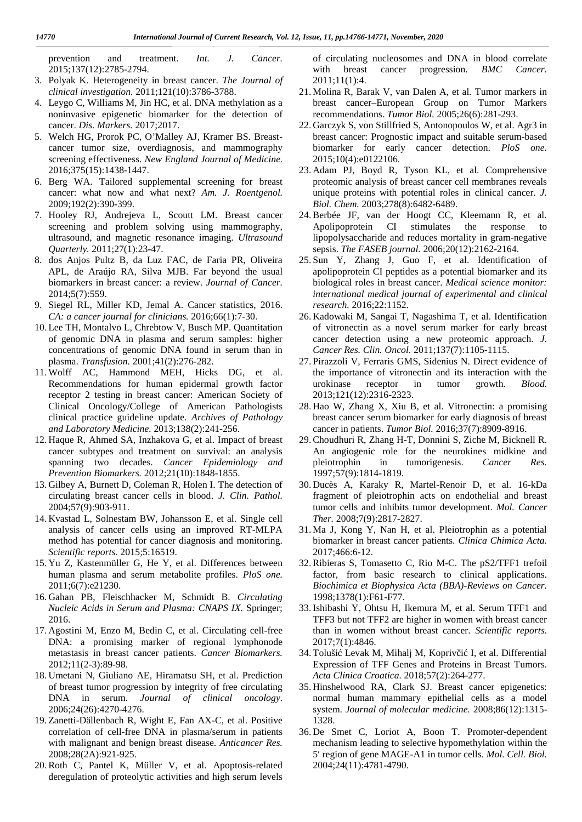prevention and treatment. *Int. J. Cancer.* 2015;137(12):2785-2794.

- 3. Polyak K. Heterogeneity in breast cancer. *The Journal of clinical investigation.* 2011;121(10):3786-3788.
- 4. Leygo C, Williams M, Jin HC, et al. DNA methylation as a noninvasive epigenetic biomarker for the detection of cancer. *Dis. Markers.* 2017;2017.
- 5. Welch HG, Prorok PC, O'Malley AJ, Kramer BS. Breast cancer tumor size, overdiagnosis, and mammography screening effectiveness. *New England Journal of Medicine.* 2016;375(15):1438-1447.
- 6. Berg WA. Tailored supplemental screening for breast cancer: what now and what next? *Am. J. Roentgenol.* 2009;192(2):390-399.
- 7. Hooley RJ, Andrejeva L, Scoutt LM. Breast cancer screening and problem solving using mammography, ultrasound, and magnetic resonance imaging. *Ultrasound Quarterly.* 2011;27(1):23-47.
- 8. dos Anjos Pultz B, da Luz FAC, de Faria PR, Oliveira APL, de Araújo RA, Silva MJB. Far beyond the usual biomarkers in breast cancer: a review. *Journal of Cancer.* 2014;5(7):559.
- 9. Siegel RL, Miller KD, Jemal A. Cancer statistics, 2016. *CA: a cancer journal for clinicians.* 2016;66(1):7-30.
- 10. Lee TH, Montalvo L, Chrebtow V, Busch MP. Quantitation of genomic DNA in plasma and serum samples: higher concentrations of genomic DNA found in serum than in plasma. *Transfusion.* 2001;41(2):276-282.
- 11. Wolff AC, Hammond MEH, Hicks DG, et al. Recommendations for human epidermal growth factor receptor 2 testing in breast cancer: American Society of Clinical Oncology/College of American Pathologists clinical practice guideline update. *Archives of Pathology and Laboratory Medicine.* 2013;138(2):241-256.
- 12. Haque R, Ahmed SA, Inzhakova G, et al. Impact of breast cancer subtypes and treatment on survival: an analysis spanning two decades. *Cancer Epidemiology and Prevention Biomarkers.* 2012;21(10):1848-1855.
- 13. Gilbey A, Burnett D, Coleman R, Holen I. The detection of circulating breast cancer cells in blood. *J. Clin. Pathol.* 2004;57(9):903-911.
- 14. Kvastad L, Solnestam BW, Johansson E, et al. Single cell analysis of cancer cells using an improved RT-MLPA method has potential for cancer diagnosis and monitoring. *Scientific reports.* 2015;5:16519.
- 15. Yu Z, Kastenmüller G, He Y, et al. Differences between human plasma and serum metabolite profiles. *PloS one.* 2011;6(7):e21230.
- 16. Gahan PB, Fleischhacker M, Schmidt B. *Circulating Nucleic Acids in Serum and Plasma: CNAPS IX.* Springer; 2016.
- 17. Agostini M, Enzo M, Bedin C, et al. Circulating cell-free DNA: a promising marker of regional lymphonode metastasis in breast cancer patients. *Cancer Biomarkers.* 2012;11(2-3):89-98.
- 18. Umetani N, Giuliano AE, Hiramatsu SH, et al. Prediction of breast tumor progression by integrity of free circulating DNA in serum. *Journal of clinical oncology.* 2006;24(26):4270-4276.
- 19. Zanetti-Dällenbach R, Wight E, Fan AX-C, et al. Positive correlation of cell-free DNA in plasma/serum in patients with malignant and benign breast disease. *Anticancer Res.* 2008;28(2A):921-925.
- 20.Roth C, Pantel K, Müller V, et al. Apoptosis-related deregulation of proteolytic activities and high serum levels

of circulating nucleosomes and DNA in blood correlate with breast cancer progression. *BMC Cancer.* 2011;11(1):4.

- 21. Molina R, Barak V, van Dalen A, et al. Tumor markers in breast cancer–European Group on Tumor Markers recommendations. *Tumor Biol.* 2005;26(6):281-293.
- 22. Garczyk S, von Stillfried S, Antonopoulos W, et al. Agr3 in breast cancer: Prognostic impact and suitable serum-based biomarker for early cancer detection. *PloS one.* 2015;10(4):e0122106.
- 23. Adam PJ, Boyd R, Tyson KL, et al. Comprehensive proteomic analysis of breast cancer cell membranes reveals unique proteins with potential roles in clinical cancer. *J. Biol. Chem.* 2003;278(8):6482-6489.
- 24.Berbée JF, van der Hoogt CC, Kleemann R, et al. Apolipoprotein CI stimulates the response to lipopolysaccharide and reduces mortality in gram-negative sepsis. *The FASEB journal.* 2006;20(12):2162-2164.
- 25. Sun Y, Zhang J, Guo F, et al. Identification of apolipoprotein CI peptides as a potential biomarker and its biological roles in breast cancer. *Medical science monitor: international medical journal of experimental and clinical research.* 2016;22:1152.
- 26. Kadowaki M, Sangai T, Nagashima T, et al. Identification of vitronectin as a novel serum marker for early breast cancer detection using a new proteomic approach. *J. Cancer Res. Clin. Oncol.* 2011;137(7):1105-1115.
- 27. Pirazzoli V, Ferraris GMS, Sidenius N. Direct evidence of the importance of vitronectin and its interaction with the urokinase receptor in tumor growth. *Blood.* 2013;121(12):2316-2323.
- 28. Hao W, Zhang X, Xiu B, et al. Vitronectin: a promising breast cancer serum biomarker for early diagnosis of breast cancer in patients. *Tumor Biol.* 2016;37(7):8909-8916.
- 29.Choudhuri R, Zhang H-T, Donnini S, Ziche M, Bicknell R. An angiogenic role for the neurokines midkine and in tumorigenesis. *Cancer Res.* 1997;57(9):1814-1819.
- 30. Ducès A, Karaky R, Martel-Renoir D, et al. 16-kDa fragment of pleiotrophin acts on endothelial and breast tumor cells and inhibits tumor development. *Mol. Cancer Ther.* 2008;7(9):2817-2827.
- 31. Ma J, Kong Y, Nan H, et al. Pleiotrophin as a potential biomarker in breast cancer patients. *Clinica Chimica Acta.* 2017;466:6-12.
- 32.Ribieras S, Tomasetto C, Rio M-C. The pS2/TFF1 trefoil factor, from basic research to clinical applications. *Biochimica et Biophysica Acta (BBA)-Reviews on Cancer.* 1998;1378(1):F61-F77.
- 33.Ishibashi Y, Ohtsu H, Ikemura M, et al. Serum TFF1 and TFF3 but not TFF2 are higher in women with breast cancer than in women without breast cancer. *Scientific reports.* 2017;7(1):4846.
- 34. Toluši Levak M, Mihalj M, Kopriv i I, et al. Differential Expression of TFF Genes and Proteins in Breast Tumors. *Acta Clinica Croatica.* 2018;57(2):264-277.
- 35. Hinshelwood RA, Clark SJ. Breast cancer epigenetics: normal human mammary epithelial cells as a model system. *Journal of molecular medicine.* 2008;86(12):1315- 1328.
- 36. De Smet C, Loriot A, Boon T. Promoter-dependent mechanism leading to selective hypomethylation within the 5′ region of gene MAGE-A1 in tumor cells. *Mol. Cell. Biol.* 2004;24(11):4781-4790.